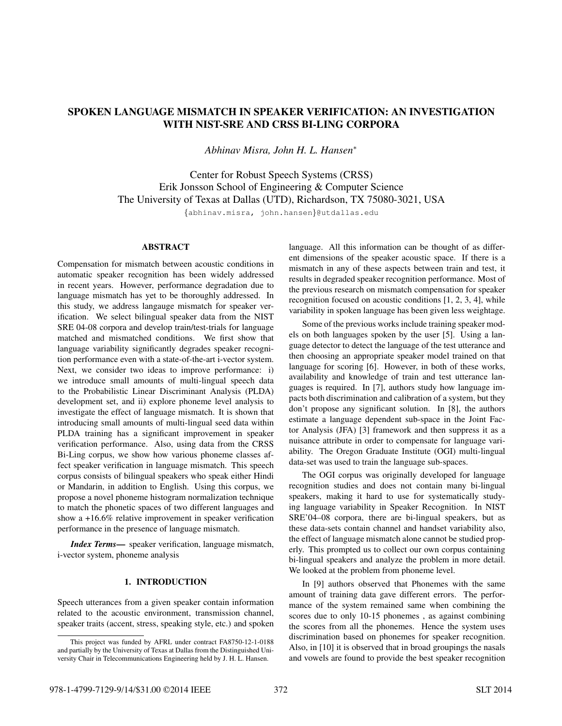# SPOKEN LANGUAGE MISMATCH IN SPEAKER VERIFICATION: AN INVESTIGATION WITH NIST-SRE AND CRSS BI-LING CORPORA

*Abhinav Misra, John H. L. Hansen*<sup>∗</sup>

Center for Robust Speech Systems (CRSS) Erik Jonsson School of Engineering & Computer Science The University of Texas at Dallas (UTD), Richardson, TX 75080-3021, USA

{abhinav.misra, john.hansen}@utdallas.edu

# ABSTRACT

Compensation for mismatch between acoustic conditions in automatic speaker recognition has been widely addressed in recent years. However, performance degradation due to language mismatch has yet to be thoroughly addressed. In this study, we address langauge mismatch for speaker verification. We select bilingual speaker data from the NIST SRE 04-08 corpora and develop train/test-trials for language matched and mismatched conditions. We first show that language variability significantly degrades speaker recognition performance even with a state-of-the-art i-vector system. Next, we consider two ideas to improve performance: i) we introduce small amounts of multi-lingual speech data to the Probabilistic Linear Discriminant Analysis (PLDA) development set, and ii) explore phoneme level analysis to investigate the effect of language mismatch. It is shown that introducing small amounts of multi-lingual seed data within PLDA training has a significant improvement in speaker verification performance. Also, using data from the CRSS Bi-Ling corpus, we show how various phoneme classes affect speaker verification in language mismatch. This speech corpus consists of bilingual speakers who speak either Hindi or Mandarin, in addition to English. Using this corpus, we propose a novel phoneme histogram normalization technique to match the phonetic spaces of two different languages and show a +16.6% relative improvement in speaker verification performance in the presence of language mismatch.

*Index Terms*— speaker verification, language mismatch, i-vector system, phoneme analysis

# 1. INTRODUCTION

Speech utterances from a given speaker contain information related to the acoustic environment, transmission channel, speaker traits (accent, stress, speaking style, etc.) and spoken

language. All this information can be thought of as different dimensions of the speaker acoustic space. If there is a mismatch in any of these aspects between train and test, it results in degraded speaker recognition performance. Most of the previous research on mismatch compensation for speaker recognition focused on acoustic conditions [1, 2, 3, 4], while variability in spoken language has been given less weightage.

Some of the previous works include training speaker models on both languages spoken by the user [5]. Using a language detector to detect the language of the test utterance and then choosing an appropriate speaker model trained on that language for scoring [6]. However, in both of these works, availability and knowledge of train and test utterance languages is required. In [7], authors study how language impacts both discrimination and calibration of a system, but they don't propose any significant solution. In [8], the authors estimate a language dependent sub-space in the Joint Factor Analysis (JFA) [3] framework and then suppress it as a nuisance attribute in order to compensate for language variability. The Oregon Graduate Institute (OGI) multi-lingual data-set was used to train the language sub-spaces.

The OGI corpus was originally developed for language recognition studies and does not contain many bi-lingual speakers, making it hard to use for systematically studying language variability in Speaker Recognition. In NIST SRE'04–08 corpora, there are bi-lingual speakers, but as these data-sets contain channel and handset variability also, the effect of language mismatch alone cannot be studied properly. This prompted us to collect our own corpus containing bi-lingual speakers and analyze the problem in more detail. We looked at the problem from phoneme level.

In [9] authors observed that Phonemes with the same amount of training data gave different errors. The performance of the system remained same when combining the scores due to only 10-15 phonemes , as against combining the scores from all the phonemes. Hence the system uses discrimination based on phonemes for speaker recognition. Also, in [10] it is observed that in broad groupings the nasals and vowels are found to provide the best speaker recognition

This project was funded by AFRL under contract FA8750-12-1-0188 and partially by the University of Texas at Dallas from the Distinguished University Chair in Telecommunications Engineering held by J. H. L. Hansen.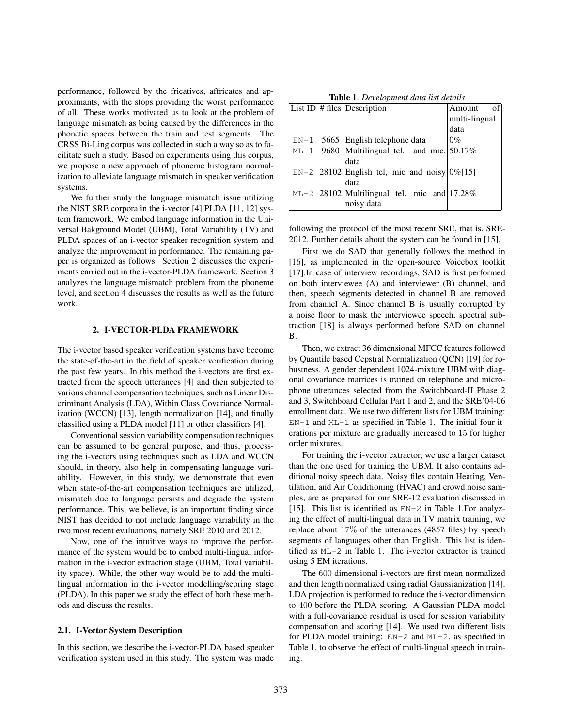performance, followed by the fricatives, affricates and approximants, with the stops providing the worst performance of all. These works motivated us to look at the problem of language mismatch as being caused by the differences in the phonetic spaces between the train and test segments. The CRSS Bi-Ling corpus was collected in such a way so as to facilitate such a study. Based on experiments using this corpus, we propose a new approach of phoneme histogram normalization to alleviate language mismatch in speaker verification systems.

We further study the language mismatch issue utilizing the NIST SRE corpora in the i-vector [4] PLDA [11, 12] system framework. We embed language information in the Universal Bakground Model (UBM), Total Variability (TV) and PLDA spaces of an i-vector speaker recognition system and analyze the improvement in performance. The remaining paper is organized as follows. Section 2 discusses the experiments carried out in the i-vector-PLDA framework. Section 3 analyzes the language mismatch problem from the phoneme level, and section 4 discusses the results as well as the future work.

#### 2. I-VECTOR-PLDA FRAMEWORK

The i-vector based speaker verification systems have become the state-of-the-art in the field of speaker verification during the past few years. In this method the i-vectors are first extracted from the speech utterances [4] and then subjected to various channel compensation techniques, such as Linear Discriminant Analysis (LDA), Within Class Covariance Normalization (WCCN) [13], length normalization [14], and finally classified using a PLDA model [11] or other classifiers [4].

Conventional session variability compensation techniques can be assumed to be general purpose, and thus, processing the i-vectors using techniques such as LDA and WCCN should, in theory, also help in compensating language variability. However, in this study, we demonstrate that even when state-of-the-art compensation techniques are utilized, mismatch due to language persists and degrade the system performance. This, we believe, is an important finding since NIST has decided to not include language variability in the two most recent evaluations, namely SRE 2010 and 2012.

Now, one of the intuitive ways to improve the performance of the system would be to embed multi-lingual information in the i-vector extraction stage (UBM, Total variability space). While, the other way would be to add the multilingual information in the i-vector modelling/scoring stage (PLDA). In this paper we study the effect of both these methods and discuss the results.

#### 2.1. I-Vector System Description

In this section, we describe the i-vector-PLDA based speaker verification system used in this study. The system was made

Table 1. *Development data list details*

|        | List ID $\#$ files Description                     | of<br>Amount  |
|--------|----------------------------------------------------|---------------|
|        |                                                    | multi-lingual |
|        |                                                    | data          |
| $EN-1$ | 5665 English telephone data                        | $0\%$         |
| $ML-1$ | 9680 Multilingual tel. and mic. 50.17%             |               |
|        | data                                               |               |
|        | $EN-2$ 28102 English tel, mic and noisy $0\%$ [15] |               |
|        | data                                               |               |
|        | $ML-2$  28102 Multilingual tel, mic and  17.28%    |               |
|        | noisy data                                         |               |

following the protocol of the most recent SRE, that is, SRE-2012. Further details about the system can be found in [15].

First we do SAD that generally follows the method in [16], as implemented in the open-source Voicebox toolkit [17].In case of interview recordings, SAD is first performed on both interviewee (A) and interviewer (B) channel, and then, speech segments detected in channel B are removed from channel A. Since channel B is usually corrupted by a noise floor to mask the interviewee speech, spectral subtraction [18] is always performed before SAD on channel B.

Then, we extract 36 dimensional MFCC features followed by Quantile based Cepstral Normalization (QCN) [19] for robustness. A gender dependent 1024-mixture UBM with diagonal covariance matrices is trained on telephone and microphone utterances selected from the Switchboard-II Phase 2 and 3, Switchboard Cellular Part 1 and 2, and the SRE'04-06 enrollment data. We use two different lists for UBM training: EN-1 and ML-1 as specified in Table 1. The initial four iterations per mixture are gradually increased to 15 for higher order mixtures.

For training the i-vector extractor, we use a larger dataset than the one used for training the UBM. It also contains additional noisy speech data. Noisy files contain Heating, Ventilation, and Air Conditioning (HVAC) and crowd noise samples, are as prepared for our SRE-12 evaluation discussed in [15]. This list is identified as EN-2 in Table 1.For analyzing the effect of multi-lingual data in TV matrix training, we replace about 17% of the utterances (4857 files) by speech segments of languages other than English. This list is identified as ML-2 in Table 1. The i-vector extractor is trained using 5 EM iterations.

The 600 dimensional i-vectors are first mean normalized and then length normalized using radial Gaussianization [14]. LDA projection is performed to reduce the i-vector dimension to 400 before the PLDA scoring. A Gaussian PLDA model with a full-covariance residual is used for session variability compensation and scoring [14]. We used two different lists for PLDA model training: EN-2 and ML-2, as specified in Table 1, to observe the effect of multi-lingual speech in training.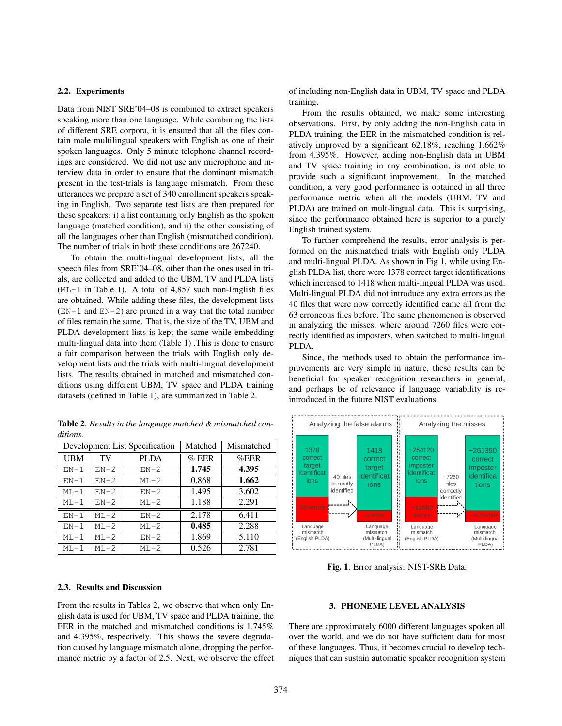### 2.2. Experiments

Data from NIST SRE'04–08 is combined to extract speakers speaking more than one language. While combining the lists of different SRE corpora, it is ensured that all the files contain male multilingual speakers with English as one of their spoken languages. Only 5 minute telephone channel recordings are considered. We did not use any microphone and interview data in order to ensure that the dominant mismatch present in the test-trials is language mismatch. From these utterances we prepare a set of 340 enrollment speakers speaking in English. Two separate test lists are then prepared for these speakers: i) a list containing only English as the spoken language (matched condition), and ii) the other consisting of all the languages other than English (mismatched condition). The number of trials in both these conditions are 267240.

To obtain the multi-lingual development lists, all the speech files from SRE'04–08, other than the ones used in trials, are collected and added to the UBM, TV and PLDA lists  $(ML-1$  in Table 1). A total of 4,857 such non-English files are obtained. While adding these files, the development lists  $(EN-1$  and  $EN-2)$  are pruned in a way that the total number of files remain the same. That is, the size of the TV, UBM and PLDA development lists is kept the same while embedding multi-lingual data into them (Table 1) .This is done to ensure a fair comparison between the trials with English only development lists and the trials with multi-lingual development lists. The results obtained in matched and mismatched conditions using different UBM, TV space and PLDA training datasets (defined in Table 1), are summarized in Table 2.

Table 2. *Results in the language matched & mismatched conditions.*

|        |          | Development List Specification | Matched | Mismatched |
|--------|----------|--------------------------------|---------|------------|
| UBM    | TV       | PLDA                           | $%$ EER | $\%$ EER   |
| $EN-1$ | $EN-2$   | $EN-2$                         | 1.745   | 4.395      |
| $EN-1$ | $EN-2$   | $ML-2$                         | 0.868   | 1.662      |
| $ML-1$ | $EN-2$   | $EN-2$                         | 1.495   | 3.602      |
| $ML-1$ | $EN-2$   | $ML-2$                         | 1.188   | 2.291      |
| $EN-1$ | $MI - 2$ | $EN-2$                         | 2.178   | 6.411      |
| $EN-1$ | $MI - 2$ | $ML-2$                         | 0.485   | 2.288      |
| $ML-1$ | $MT - 2$ | $EN-2$                         | 1.869   | 5.110      |
| $ML-1$ | $MT - 2$ | $MT - 2$                       | 0.526   | 2.781      |

of including non-English data in UBM, TV space and PLDA training.

From the results obtained, we make some interesting observations. First, by only adding the non-English data in PLDA training, the EER in the mismatched condition is relatively improved by a significant 62.18%, reaching 1.662% from 4.395%. However, adding non-English data in UBM and TV space training in any combination, is not able to provide such a significant improvement. In the matched condition, a very good performance is obtained in all three performance metric when all the models (UBM, TV and PLDA) are trained on mult-lingual data. This is surprising, since the performance obtained here is superior to a purely English trained system.

To further comprehend the results, error analysis is performed on the mismatched trials with English only PLDA and multi-lingual PLDA. As shown in Fig 1, while using English PLDA list, there were 1378 correct target identifications which increased to 1418 when multi-lingual PLDA was used. Multi-lingual PLDA did not introduce any extra errors as the 40 files that were now correctly identified came all from the 63 erroneous files before. The same phenomenon is observed in analyzing the misses, where around 7260 files were correctly identified as imposters, when switched to multi-lingual PLDA.

Since, the methods used to obtain the performance improvements are very simple in nature, these results can be beneficial for speaker recognition researchers in general, and perhaps be of relevance if language variability is reintroduced in the future NIST evaluations.



Fig. 1. Error analysis: NIST-SRE Data.

#### 2.3. Results and Discussion

From the results in Tables 2, we observe that when only English data is used for UBM, TV space and PLDA training, the EER in the matched and mismatched conditions is 1.745% and 4.395%, respectively. This shows the severe degradation caused by language mismatch alone, dropping the performance metric by a factor of 2.5. Next, we observe the effect

## 3. PHONEME LEVEL ANALYSIS

There are approximately 6000 different languages spoken all over the world, and we do not have sufficient data for most of these languages. Thus, it becomes crucial to develop techniques that can sustain automatic speaker recognition system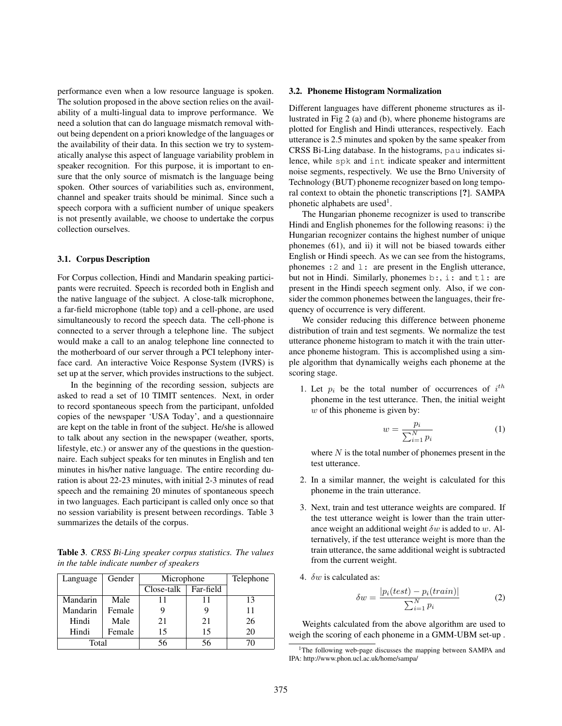performance even when a low resource language is spoken. The solution proposed in the above section relies on the availability of a multi-lingual data to improve performance. We need a solution that can do language mismatch removal without being dependent on a priori knowledge of the languages or the availability of their data. In this section we try to systematically analyse this aspect of language variability problem in speaker recognition. For this purpose, it is important to ensure that the only source of mismatch is the language being spoken. Other sources of variabilities such as, environment, channel and speaker traits should be minimal. Since such a speech corpora with a sufficient number of unique speakers is not presently available, we choose to undertake the corpus collection ourselves.

### 3.1. Corpus Description

For Corpus collection, Hindi and Mandarin speaking participants were recruited. Speech is recorded both in English and the native language of the subject. A close-talk microphone, a far-field microphone (table top) and a cell-phone, are used simultaneously to record the speech data. The cell-phone is connected to a server through a telephone line. The subject would make a call to an analog telephone line connected to the motherboard of our server through a PCI telephony interface card. An interactive Voice Response System (IVRS) is set up at the server, which provides instructions to the subject.

In the beginning of the recording session, subjects are asked to read a set of 10 TIMIT sentences. Next, in order to record spontaneous speech from the participant, unfolded copies of the newspaper 'USA Today', and a questionnaire are kept on the table in front of the subject. He/she is allowed to talk about any section in the newspaper (weather, sports, lifestyle, etc.) or answer any of the questions in the questionnaire. Each subject speaks for ten minutes in English and ten minutes in his/her native language. The entire recording duration is about 22-23 minutes, with initial 2-3 minutes of read speech and the remaining 20 minutes of spontaneous speech in two languages. Each participant is called only once so that no session variability is present between recordings. Table 3 summarizes the details of the corpus.

Table 3. *CRSS Bi-Ling speaker corpus statistics. The values in the table indicate number of speakers*

| Language | Gender | Microphone |           | Telephone |
|----------|--------|------------|-----------|-----------|
|          |        | Close-talk | Far-field |           |
| Mandarin | Male   | 11         |           | 13        |
| Mandarin | Female |            |           | 11        |
| Hindi    | Male   | 21         | 21        | 26        |
| Hindi    | Female | 15         | 15        | 20        |
| Total    |        | 56         |           |           |

#### 3.2. Phoneme Histogram Normalization

Different languages have different phoneme structures as illustrated in Fig 2 (a) and (b), where phoneme histograms are plotted for English and Hindi utterances, respectively. Each utterance is 2.5 minutes and spoken by the same speaker from CRSS Bi-Ling database. In the histograms, pau indicates silence, while spk and int indicate speaker and intermittent noise segments, respectively. We use the Brno University of Technology (BUT) phoneme recognizer based on long temporal context to obtain the phonetic transcriptions [?]. SAMPA phonetic alphabets are used<sup>1</sup>.

The Hungarian phoneme recognizer is used to transcribe Hindi and English phonemes for the following reasons: i) the Hungarian recognizer contains the highest number of unique phonemes (61), and ii) it will not be biased towards either English or Hindi speech. As we can see from the histograms, phonemes :2 and l: are present in the English utterance, but not in Hindi. Similarly, phonemes  $b:$ ,  $i:$  and  $t1:$  are present in the Hindi speech segment only. Also, if we consider the common phonemes between the languages, their frequency of occurrence is very different.

We consider reducing this difference between phoneme distribution of train and test segments. We normalize the test utterance phoneme histogram to match it with the train utterance phoneme histogram. This is accomplished using a simple algorithm that dynamically weighs each phoneme at the scoring stage.

1. Let  $p_i$  be the total number of occurrences of  $i^{th}$ phoneme in the test utterance. Then, the initial weight  $w$  of this phoneme is given by:

$$
w = \frac{p_i}{\sum_{i=1}^{N} p_i} \tag{1}
$$

where  $N$  is the total number of phonemes present in the test utterance.

- 2. In a similar manner, the weight is calculated for this phoneme in the train utterance.
- 3. Next, train and test utterance weights are compared. If the test utterance weight is lower than the train utterance weight an additional weight  $\delta w$  is added to w. Alternatively, if the test utterance weight is more than the train utterance, the same additional weight is subtracted from the current weight.
- 4.  $\delta w$  is calculated as:

$$
\delta w = \frac{|p_i(test) - p_i(train)|}{\sum_{i=1}^{N} p_i}
$$
 (2)

Weights calculated from the above algorithm are used to weigh the scoring of each phoneme in a GMM-UBM set-up .

<sup>&</sup>lt;sup>1</sup>The following web-page discusses the mapping between SAMPA and IPA: http://www.phon.ucl.ac.uk/home/sampa/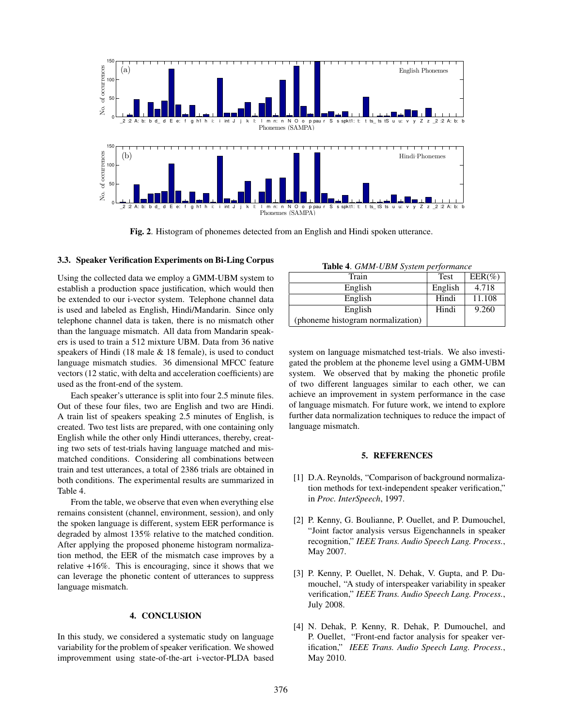

Fig. 2. Histogram of phonemes detected from an English and Hindi spoken utterance.

#### 3.3. Speaker Verification Experiments on Bi-Ling Corpus

Using the collected data we employ a GMM-UBM system to establish a production space justification, which would then be extended to our i-vector system. Telephone channel data is used and labeled as English, Hindi/Mandarin. Since only telephone channel data is taken, there is no mismatch other than the language mismatch. All data from Mandarin speakers is used to train a 512 mixture UBM. Data from 36 native speakers of Hindi (18 male & 18 female), is used to conduct language mismatch studies. 36 dimensional MFCC feature vectors (12 static, with delta and acceleration coefficients) are used as the front-end of the system.

Each speaker's utterance is split into four 2.5 minute files. Out of these four files, two are English and two are Hindi. A train list of speakers speaking 2.5 minutes of English, is created. Two test lists are prepared, with one containing only English while the other only Hindi utterances, thereby, creating two sets of test-trials having language matched and mismatched conditions. Considering all combinations between train and test utterances, a total of 2386 trials are obtained in both conditions. The experimental results are summarized in Table 4.

From the table, we observe that even when everything else remains consistent (channel, environment, session), and only the spoken language is different, system EER performance is degraded by almost 135% relative to the matched condition. After applying the proposed phoneme histogram normalization method, the EER of the mismatch case improves by a relative +16%. This is encouraging, since it shows that we can leverage the phonetic content of utterances to suppress language mismatch.

# 4. CONCLUSION

In this study, we considered a systematic study on language variability for the problem of speaker verification. We showed improvemment using state-of-the-art i-vector-PLDA based

Table 4. *GMM-UBM System performance*

| <b>Rapid T. Office Open</b> bysicht performance |         |           |  |  |
|-------------------------------------------------|---------|-----------|--|--|
| Train                                           | Test    | $EER(\%)$ |  |  |
| English                                         | English | 4.718     |  |  |
| English                                         | Hindi   | 11.108    |  |  |
| English                                         | Hindi   | 9.260     |  |  |
| (phoneme histogram normalization)               |         |           |  |  |

system on language mismatched test-trials. We also investigated the problem at the phoneme level using a GMM-UBM system. We observed that by making the phonetic profile of two different languages similar to each other, we can achieve an improvement in system performance in the case of language mismatch. For future work, we intend to explore further data normalization techniques to reduce the impact of language mismatch.

#### 5. REFERENCES

- [1] D.A. Reynolds, "Comparison of background normalization methods for text-independent speaker verification," in *Proc. InterSpeech*, 1997.
- [2] P. Kenny, G. Boulianne, P. Ouellet, and P. Dumouchel, "Joint factor analysis versus Eigenchannels in speaker recognition," *IEEE Trans. Audio Speech Lang. Process.*, May 2007.
- [3] P. Kenny, P. Ouellet, N. Dehak, V. Gupta, and P. Dumouchel, "A study of interspeaker variability in speaker verification," *IEEE Trans. Audio Speech Lang. Process.*, July 2008.
- [4] N. Dehak, P. Kenny, R. Dehak, P. Dumouchel, and P. Ouellet, "Front-end factor analysis for speaker verification," *IEEE Trans. Audio Speech Lang. Process.*, May 2010.